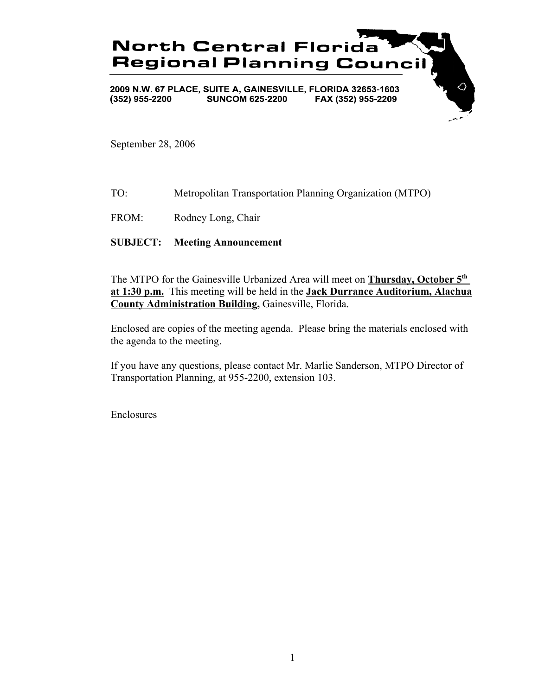

September 28, 2006

TO: Metropolitan Transportation Planning Organization (MTPO)

FROM: Rodney Long, Chair

**SUBJECT: Meeting Announcement**

The MTPO for the Gainesville Urbanized Area will meet on **Thursday, October 5th at 1:30 p.m.** This meeting will be held in the **Jack Durrance Auditorium, Alachua County Administration Building,** Gainesville, Florida.

Enclosed are copies of the meeting agenda. Please bring the materials enclosed with the agenda to the meeting.

If you have any questions, please contact Mr. Marlie Sanderson, MTPO Director of Transportation Planning, at 955-2200, extension 103.

Enclosures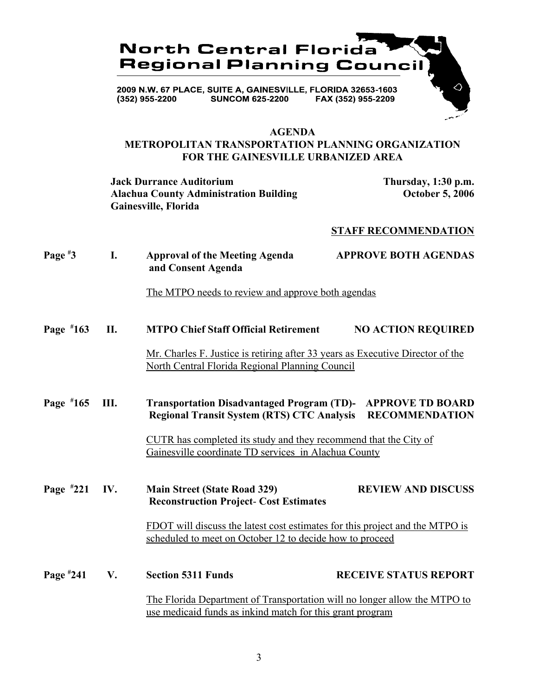

#### **AGENDA**

# **METROPOLITAN TRANSPORTATION PLANNING ORGANIZATION FOR THE GAINESVILLE URBANIZED AREA**

**Jack Durrance Auditorium Thursday, 1:30 p.m. Alachua County Administration Building October 5, 2006 Gainesville, Florida**

### **STAFF RECOMMENDATION**

**Page # 3 I. Approval of the Meeting Agenda APPROVE BOTH AGENDAS and Consent Agenda**

The MTPO needs to review and approve both agendas

**Page # 163 II. MTPO Chief Staff Official Retirement NO ACTION REQUIRED**

> Mr. Charles F. Justice is retiring after 33 years as Executive Director of the North Central Florida Regional Planning Council

**Page # 165 III. Transportation Disadvantaged Program (TD)- APPROVE TD BOARD Regional Transit System (RTS) CTC Analysis RECOMMENDATION**

> CUTR has completed its study and they recommend that the City of Gainesville coordinate TD services in Alachua County

**Page # 221 IV.** Main Street (State Road 329) **REVIEW AND DISCUSS Reconstruction Project**- **Cost Estimates**

> FDOT will discuss the latest cost estimates for this project and the MTPO is scheduled to meet on October 12 to decide how to proceed

**Page # 241 V. Section 5311 Funds RECEIVE STATUS REPORT** The Florida Department of Transportation will no longer allow the MTPO to use medicaid funds as inkind match for this grant program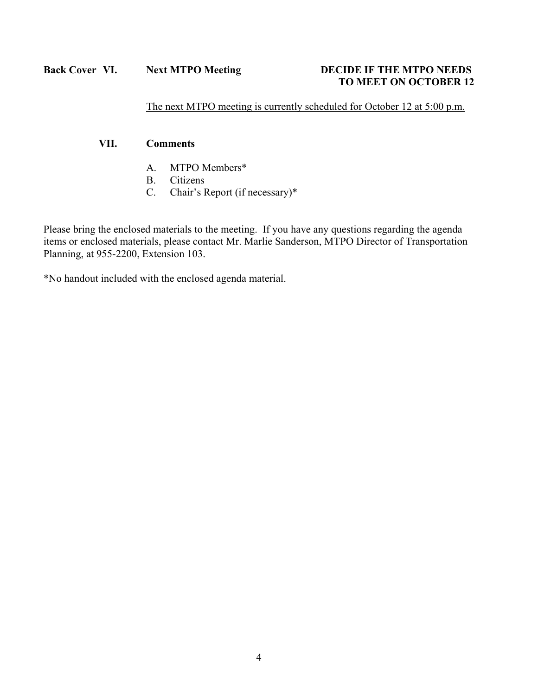# **TO MEET ON OCTOBER 12**

The next MTPO meeting is currently scheduled for October 12 at 5:00 p.m.

# **VII. Comments**

- A. MTPO Members\*
- B. Citizens
- C. Chair's Report (if necessary)\*

Please bring the enclosed materials to the meeting. If you have any questions regarding the agenda items or enclosed materials, please contact Mr. Marlie Sanderson, MTPO Director of Transportation Planning, at 955-2200, Extension 103.

\*No handout included with the enclosed agenda material.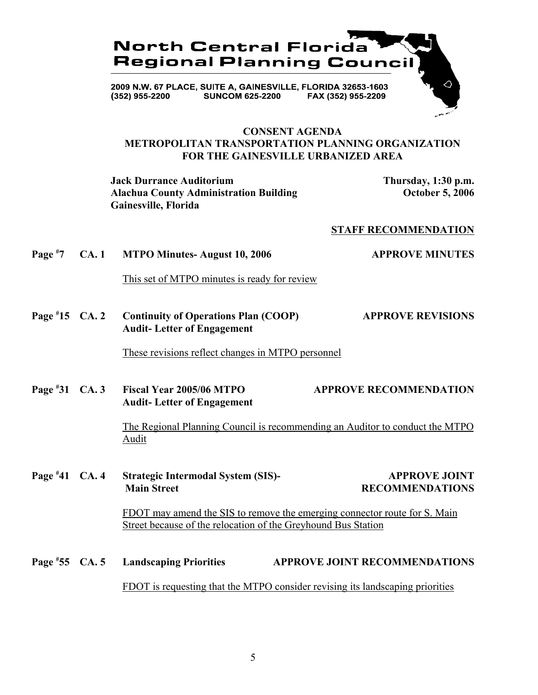

### **CONSENT AGENDA METROPOLITAN TRANSPORTATION PLANNING ORGANIZATION FOR THE GAINESVILLE URBANIZED AREA**

**Jack Durrance Auditorium Thursday, 1:30 p.m.** Alachua County Administration Building **County Administration Building County Administration Building Gainesville, Florida**

### **STAFF RECOMMENDATION**

**Page # 7 CA. 1 MTPO Minutes- August 10, 2006 APPROVE MINUTES**

This set of MTPO minutes is ready for review

**Page # 15 Continuity of Operations Plan (COOP)** APPROVE REVISIONS **Audit- Letter of Engagement**

These revisions reflect changes in MTPO personnel

**Page # 31 CA. 3 Fiscal Year 2005/06 MTPO APPROVE RECOMMENDATION Audit- Letter of Engagement**

> The Regional Planning Council is recommending an Auditor to conduct the MTPO Audit

**Page # 41 Strategic Intermodal System (SIS)- APPROVE JOINT Main Street Street RECOMMENDATIONS** 

> FDOT may amend the SIS to remove the emerging connector route for S. Main Street because of the relocation of the Greyhound Bus Station

Page #55 CA. 5 **Example 25 CA. 55 Landscaping Priorities APPROVE JOINT RECOMMENDATIONS** FDOT is requesting that the MTPO consider revising its landscaping priorities